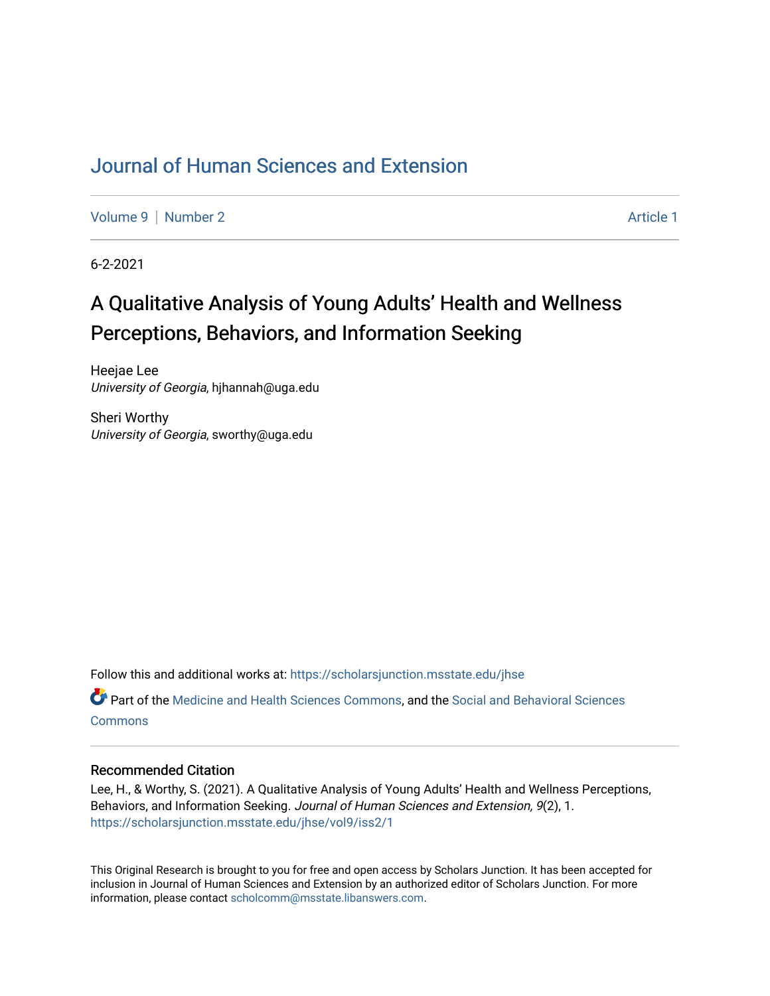## [Journal of Human Sciences and Extension](https://scholarsjunction.msstate.edu/jhse)

[Volume 9](https://scholarsjunction.msstate.edu/jhse/vol9) | [Number 2](https://scholarsjunction.msstate.edu/jhse/vol9/iss2) Article 1

6-2-2021

# A Qualitative Analysis of Young Adults' Health and Wellness Perceptions, Behaviors, and Information Seeking

Heejae Lee University of Georgia, hjhannah@uga.edu

Sheri Worthy University of Georgia, sworthy@uga.edu

Follow this and additional works at: [https://scholarsjunction.msstate.edu/jhse](https://scholarsjunction.msstate.edu/jhse?utm_source=scholarsjunction.msstate.edu%2Fjhse%2Fvol9%2Fiss2%2F1&utm_medium=PDF&utm_campaign=PDFCoverPages)

Part of the [Medicine and Health Sciences Commons,](http://network.bepress.com/hgg/discipline/648?utm_source=scholarsjunction.msstate.edu%2Fjhse%2Fvol9%2Fiss2%2F1&utm_medium=PDF&utm_campaign=PDFCoverPages) and the [Social and Behavioral Sciences](http://network.bepress.com/hgg/discipline/316?utm_source=scholarsjunction.msstate.edu%2Fjhse%2Fvol9%2Fiss2%2F1&utm_medium=PDF&utm_campaign=PDFCoverPages) **[Commons](http://network.bepress.com/hgg/discipline/316?utm_source=scholarsjunction.msstate.edu%2Fjhse%2Fvol9%2Fiss2%2F1&utm_medium=PDF&utm_campaign=PDFCoverPages)** 

#### Recommended Citation

Lee, H., & Worthy, S. (2021). A Qualitative Analysis of Young Adults' Health and Wellness Perceptions, Behaviors, and Information Seeking. Journal of Human Sciences and Extension, 9(2), 1. [https://scholarsjunction.msstate.edu/jhse/vol9/iss2/1](https://scholarsjunction.msstate.edu/jhse/vol9/iss2/1?utm_source=scholarsjunction.msstate.edu%2Fjhse%2Fvol9%2Fiss2%2F1&utm_medium=PDF&utm_campaign=PDFCoverPages)

This Original Research is brought to you for free and open access by Scholars Junction. It has been accepted for inclusion in Journal of Human Sciences and Extension by an authorized editor of Scholars Junction. For more information, please contact [scholcomm@msstate.libanswers.com](mailto:scholcomm@msstate.libanswers.com).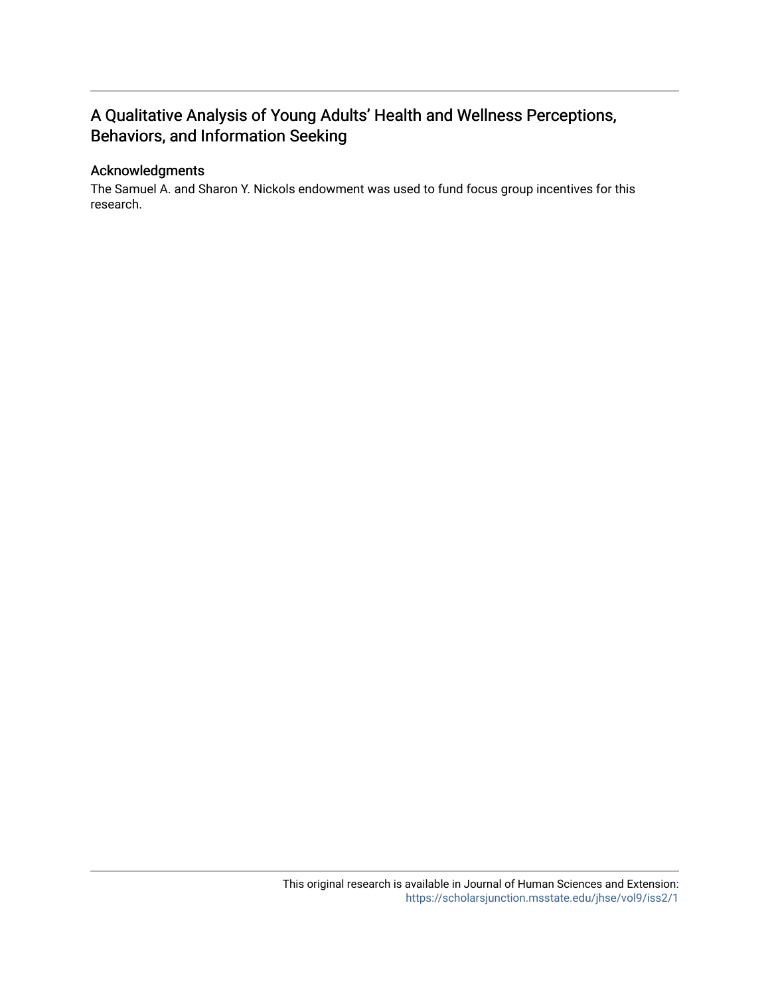## A Qualitative Analysis of Young Adults' Health and Wellness Perceptions, Behaviors, and Information Seeking

#### Acknowledgments

The Samuel A. and Sharon Y. Nickols endowment was used to fund focus group incentives for this research.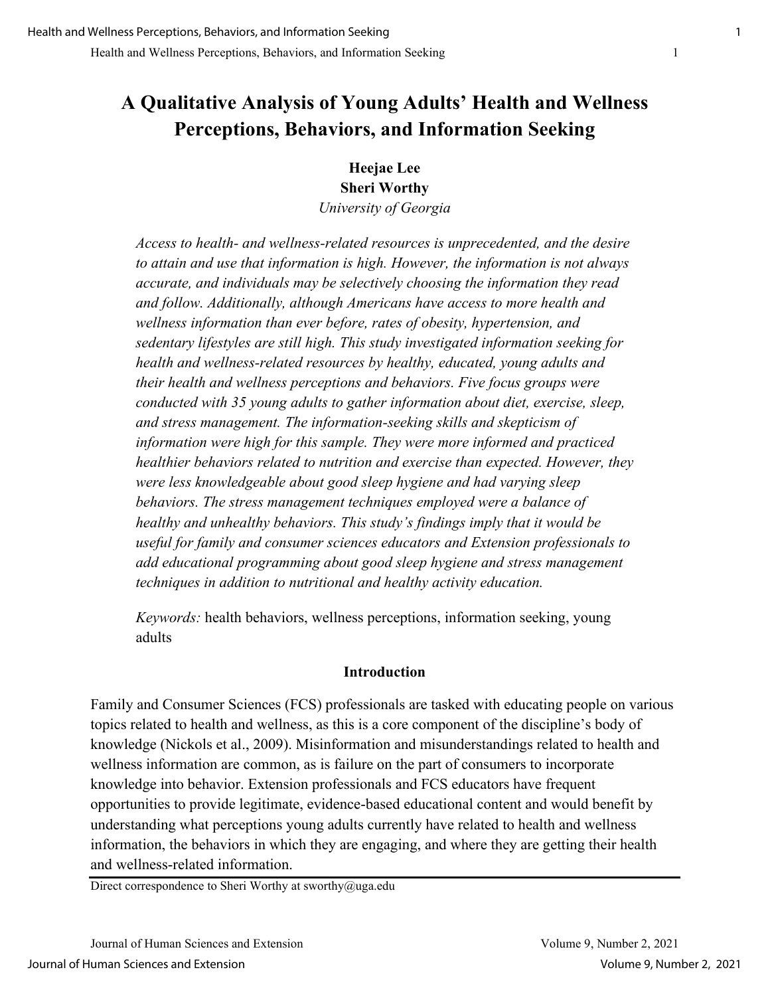# **A Qualitative Analysis of Young Adults' Health and Wellness Perceptions, Behaviors, and Information Seeking**

## **Heejae Lee Sheri Worthy**

*University of Georgia*

*Access to health- and wellness-related resources is unprecedented, and the desire to attain and use that information is high. However, the information is not always accurate, and individuals may be selectively choosing the information they read and follow. Additionally, although Americans have access to more health and wellness information than ever before, rates of obesity, hypertension, and sedentary lifestyles are still high. This study investigated information seeking for health and wellness-related resources by healthy, educated, young adults and their health and wellness perceptions and behaviors. Five focus groups were conducted with 35 young adults to gather information about diet, exercise, sleep, and stress management. The information-seeking skills and skepticism of information were high for this sample. They were more informed and practiced healthier behaviors related to nutrition and exercise than expected. However, they were less knowledgeable about good sleep hygiene and had varying sleep behaviors. The stress management techniques employed were a balance of healthy and unhealthy behaviors. This study's findings imply that it would be useful for family and consumer sciences educators and Extension professionals to add educational programming about good sleep hygiene and stress management techniques in addition to nutritional and healthy activity education.* 

*Keywords:* health behaviors, wellness perceptions, information seeking, young adults

## **Introduction**

Family and Consumer Sciences (FCS) professionals are tasked with educating people on various topics related to health and wellness, as this is a core component of the discipline's body of knowledge (Nickols et al., 2009). Misinformation and misunderstandings related to health and wellness information are common, as is failure on the part of consumers to incorporate knowledge into behavior. Extension professionals and FCS educators have frequent opportunities to provide legitimate, evidence-based educational content and would benefit by understanding what perceptions young adults currently have related to health and wellness information, the behaviors in which they are engaging, and where they are getting their health and wellness-related information.

Direct correspondence to Sheri Worthy at sworthy@uga.edu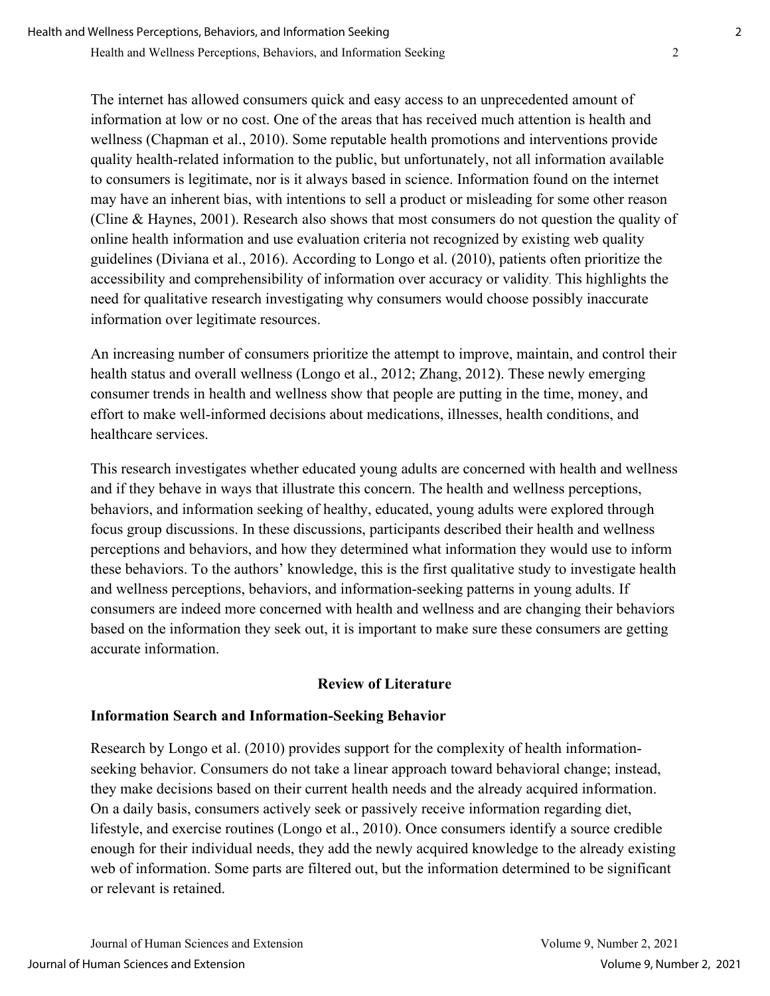Health and Wellness Perceptions, Behaviors, and Information Seeking 2

The internet has allowed consumers quick and easy access to an unprecedented amount of information at low or no cost. One of the areas that has received much attention is health and wellness (Chapman et al., 2010). Some reputable health promotions and interventions provide quality health-related information to the public, but unfortunately, not all information available to consumers is legitimate, nor is it always based in science. Information found on the internet may have an inherent bias, with intentions to sell a product or misleading for some other reason (Cline & Haynes, 2001). Research also shows that most consumers do not question the quality of online health information and use evaluation criteria not recognized by existing web quality guidelines (Diviana et al., 2016). According to Longo et al. (2010), patients often prioritize the accessibility and comprehensibility of information over accuracy or validity. This highlights the need for qualitative research investigating why consumers would choose possibly inaccurate information over legitimate resources.

An increasing number of consumers prioritize the attempt to improve, maintain, and control their health status and overall wellness (Longo et al., 2012; Zhang, 2012). These newly emerging consumer trends in health and wellness show that people are putting in the time, money, and effort to make well-informed decisions about medications, illnesses, health conditions, and healthcare services.

This research investigates whether educated young adults are concerned with health and wellness and if they behave in ways that illustrate this concern. The health and wellness perceptions, behaviors, and information seeking of healthy, educated, young adults were explored through focus group discussions. In these discussions, participants described their health and wellness perceptions and behaviors, and how they determined what information they would use to inform these behaviors. To the authors' knowledge, this is the first qualitative study to investigate health and wellness perceptions, behaviors, and information-seeking patterns in young adults. If consumers are indeed more concerned with health and wellness and are changing their behaviors based on the information they seek out, it is important to make sure these consumers are getting accurate information.

#### **Review of Literature**

#### **Information Search and Information-Seeking Behavior**

Research by Longo et al. (2010) provides support for the complexity of health informationseeking behavior. Consumers do not take a linear approach toward behavioral change; instead, they make decisions based on their current health needs and the already acquired information. On a daily basis, consumers actively seek or passively receive information regarding diet, lifestyle, and exercise routines (Longo et al., 2010). Once consumers identify a source credible enough for their individual needs, they add the newly acquired knowledge to the already existing web of information. Some parts are filtered out, but the information determined to be significant or relevant is retained.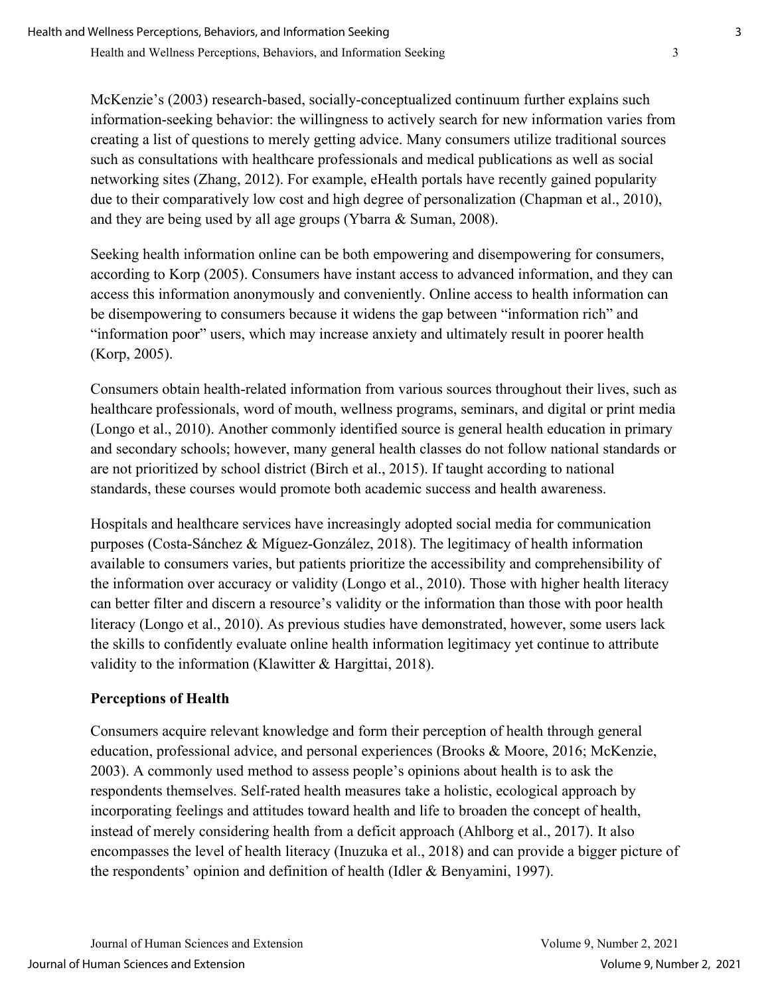McKenzie's (2003) research-based, socially-conceptualized continuum further explains such information-seeking behavior: the willingness to actively search for new information varies from creating a list of questions to merely getting advice. Many consumers utilize traditional sources such as consultations with healthcare professionals and medical publications as well as social networking sites (Zhang, 2012). For example, eHealth portals have recently gained popularity due to their comparatively low cost and high degree of personalization (Chapman et al., 2010), and they are being used by all age groups (Ybarra & Suman, 2008).

Seeking health information online can be both empowering and disempowering for consumers, according to Korp (2005). Consumers have instant access to advanced information, and they can access this information anonymously and conveniently. Online access to health information can be disempowering to consumers because it widens the gap between "information rich" and "information poor" users, which may increase anxiety and ultimately result in poorer health (Korp, 2005).

Consumers obtain health-related information from various sources throughout their lives, such as healthcare professionals, word of mouth, wellness programs, seminars, and digital or print media (Longo et al., 2010). Another commonly identified source is general health education in primary and secondary schools; however, many general health classes do not follow national standards or are not prioritized by school district (Birch et al., 2015). If taught according to national standards, these courses would promote both academic success and health awareness.

Hospitals and healthcare services have increasingly adopted social media for communication purposes (Costa-Sánchez & Míguez-González, 2018). The legitimacy of health information available to consumers varies, but patients prioritize the accessibility and comprehensibility of the information over accuracy or validity (Longo et al., 2010). Those with higher health literacy can better filter and discern a resource's validity or the information than those with poor health literacy (Longo et al., 2010). As previous studies have demonstrated, however, some users lack the skills to confidently evaluate online health information legitimacy yet continue to attribute validity to the information (Klawitter & Hargittai, 2018).

## **Perceptions of Health**

Consumers acquire relevant knowledge and form their perception of health through general education, professional advice, and personal experiences (Brooks & Moore, 2016; McKenzie, 2003). A commonly used method to assess people's opinions about health is to ask the respondents themselves. Self-rated health measures take a holistic, ecological approach by incorporating feelings and attitudes toward health and life to broaden the concept of health, instead of merely considering health from a deficit approach (Ahlborg et al., 2017). It also encompasses the level of health literacy (Inuzuka et al., 2018) and can provide a bigger picture of the respondents' opinion and definition of health (Idler & Benyamini, 1997).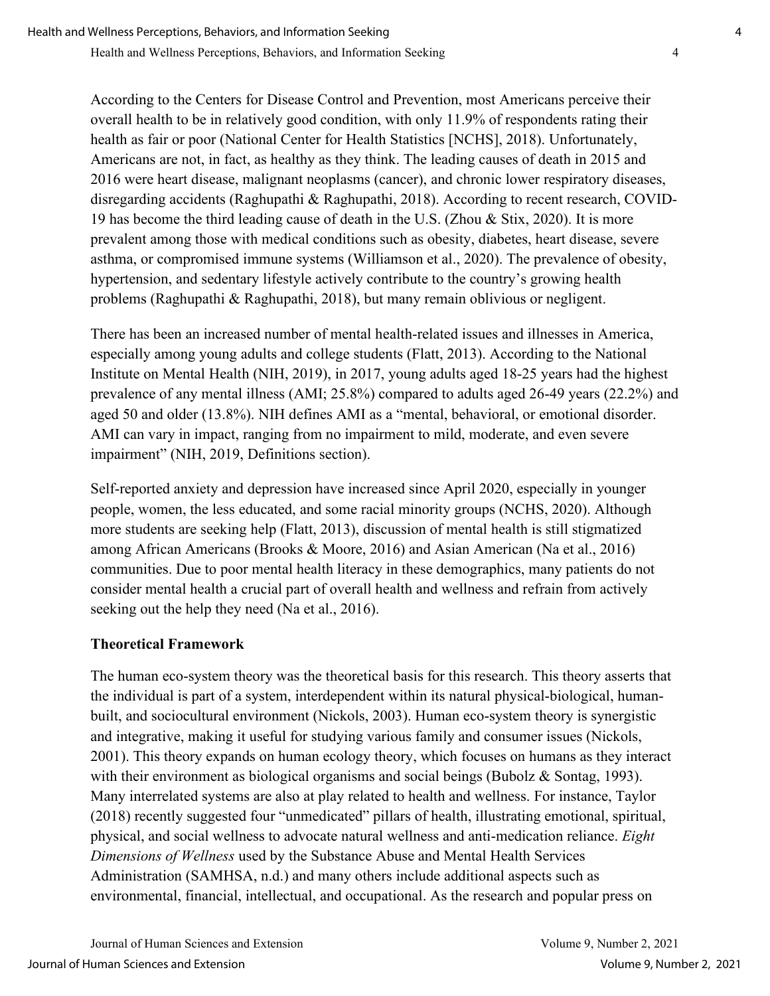Health and Wellness Perceptions, Behaviors, and Information Seeking 4

According to the Centers for Disease Control and Prevention, most Americans perceive their overall health to be in relatively good condition, with only 11.9% of respondents rating their health as fair or poor (National Center for Health Statistics [NCHS], 2018). Unfortunately, Americans are not, in fact, as healthy as they think. The leading causes of death in 2015 and 2016 were heart disease, malignant neoplasms (cancer), and chronic lower respiratory diseases, disregarding accidents (Raghupathi & Raghupathi, 2018). According to recent research, COVID-19 has become the third leading cause of death in the U.S. (Zhou & Stix, 2020). It is more prevalent among those with medical conditions such as obesity, diabetes, heart disease, severe asthma, or compromised immune systems (Williamson et al., 2020). The prevalence of obesity, hypertension, and sedentary lifestyle actively contribute to the country's growing health problems (Raghupathi & Raghupathi, 2018), but many remain oblivious or negligent.

There has been an increased number of mental health-related issues and illnesses in America, especially among young adults and college students (Flatt, 2013). According to the National Institute on Mental Health (NIH, 2019), in 2017, young adults aged 18-25 years had the highest prevalence of any mental illness (AMI; 25.8%) compared to adults aged 26-49 years (22.2%) and aged 50 and older (13.8%). NIH defines AMI as a "mental, behavioral, or emotional disorder. AMI can vary in impact, ranging from no impairment to mild, moderate, and even severe impairment" (NIH, 2019, Definitions section).

Self-reported anxiety and depression have increased since April 2020, especially in younger people, women, the less educated, and some racial minority groups (NCHS, 2020). Although more students are seeking help (Flatt, 2013), discussion of mental health is still stigmatized among African Americans (Brooks & Moore, 2016) and Asian American (Na et al., 2016) communities. Due to poor mental health literacy in these demographics, many patients do not consider mental health a crucial part of overall health and wellness and refrain from actively seeking out the help they need (Na et al., 2016).

## **Theoretical Framework**

The human eco-system theory was the theoretical basis for this research. This theory asserts that the individual is part of a system, interdependent within its natural physical-biological, humanbuilt, and sociocultural environment (Nickols, 2003). Human eco-system theory is synergistic and integrative, making it useful for studying various family and consumer issues (Nickols, 2001). This theory expands on human ecology theory, which focuses on humans as they interact with their environment as biological organisms and social beings (Bubolz & Sontag, 1993). Many interrelated systems are also at play related to health and wellness. For instance, Taylor (2018) recently suggested four "unmedicated" pillars of health, illustrating emotional, spiritual, physical, and social wellness to advocate natural wellness and anti-medication reliance. *Eight Dimensions of Wellness* used by the Substance Abuse and Mental Health Services Administration (SAMHSA, n.d.) and many others include additional aspects such as environmental, financial, intellectual, and occupational. As the research and popular press on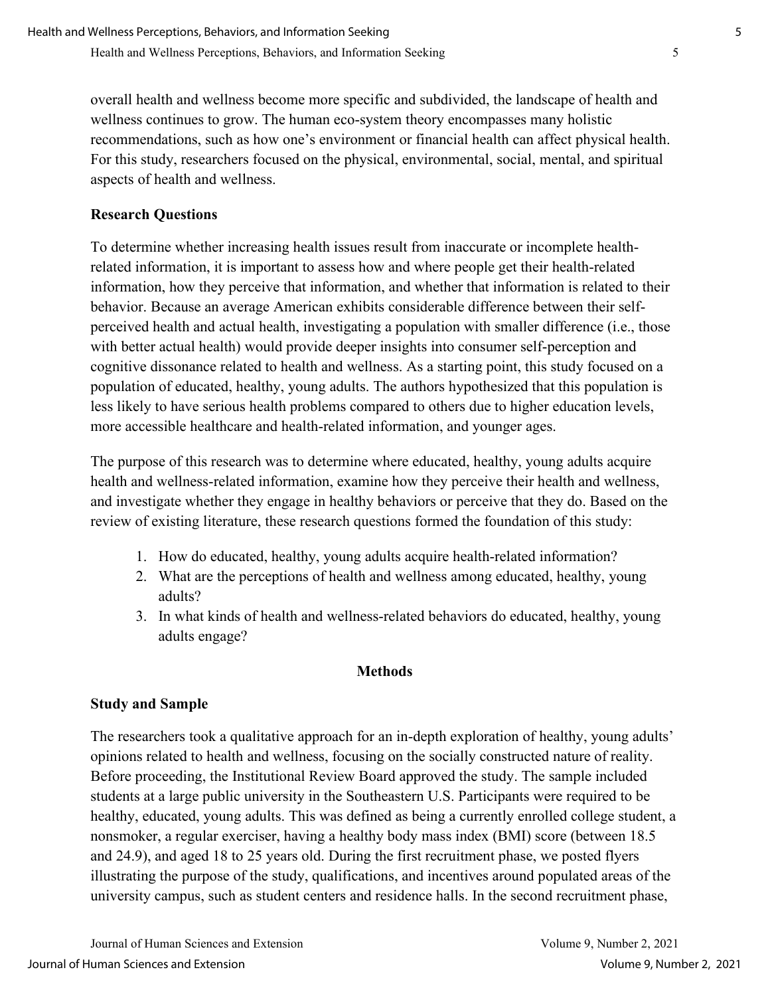overall health and wellness become more specific and subdivided, the landscape of health and wellness continues to grow. The human eco-system theory encompasses many holistic recommendations, such as how one's environment or financial health can affect physical health. For this study, researchers focused on the physical, environmental, social, mental, and spiritual aspects of health and wellness.

## **Research Questions**

To determine whether increasing health issues result from inaccurate or incomplete healthrelated information, it is important to assess how and where people get their health-related information, how they perceive that information, and whether that information is related to their behavior. Because an average American exhibits considerable difference between their selfperceived health and actual health, investigating a population with smaller difference (i.e., those with better actual health) would provide deeper insights into consumer self-perception and cognitive dissonance related to health and wellness. As a starting point, this study focused on a population of educated, healthy, young adults. The authors hypothesized that this population is less likely to have serious health problems compared to others due to higher education levels, more accessible healthcare and health-related information, and younger ages.

The purpose of this research was to determine where educated, healthy, young adults acquire health and wellness-related information, examine how they perceive their health and wellness, and investigate whether they engage in healthy behaviors or perceive that they do. Based on the review of existing literature, these research questions formed the foundation of this study:

- 1. How do educated, healthy, young adults acquire health-related information?
- 2. What are the perceptions of health and wellness among educated, healthy, young adults?
- 3. In what kinds of health and wellness-related behaviors do educated, healthy, young adults engage?

## **Methods**

## **Study and Sample**

The researchers took a qualitative approach for an in-depth exploration of healthy, young adults' opinions related to health and wellness, focusing on the socially constructed nature of reality. Before proceeding, the Institutional Review Board approved the study. The sample included students at a large public university in the Southeastern U.S. Participants were required to be healthy, educated, young adults. This was defined as being a currently enrolled college student, a nonsmoker, a regular exerciser, having a healthy body mass index (BMI) score (between 18.5 and 24.9), and aged 18 to 25 years old. During the first recruitment phase, we posted flyers illustrating the purpose of the study, qualifications, and incentives around populated areas of the university campus, such as student centers and residence halls. In the second recruitment phase,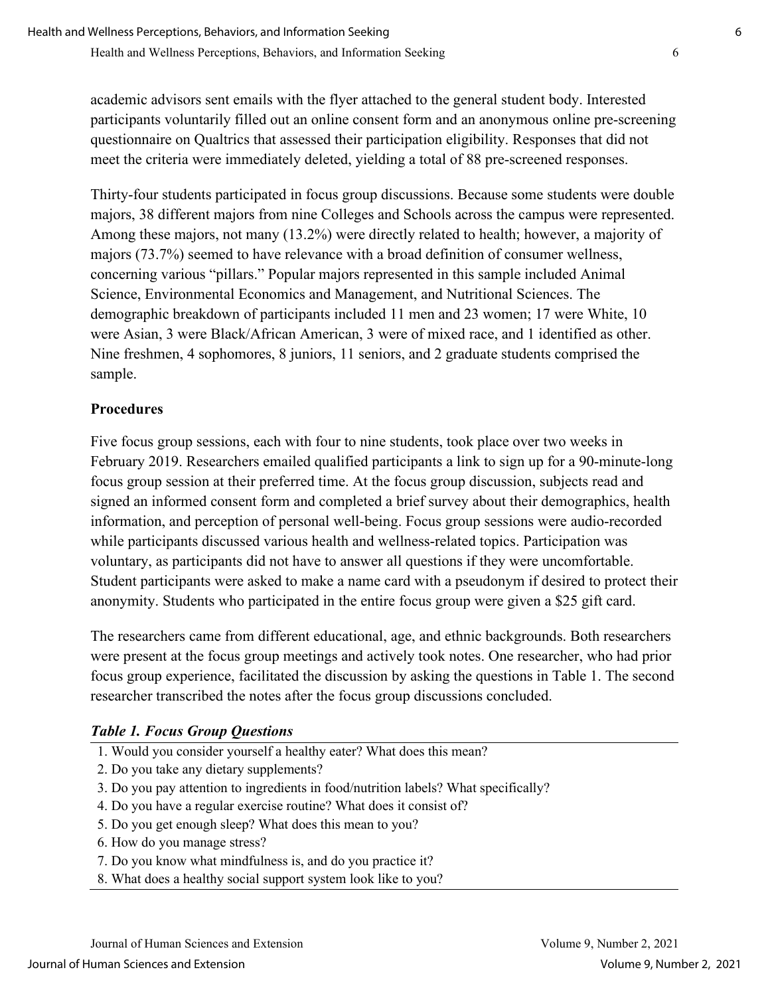academic advisors sent emails with the flyer attached to the general student body. Interested participants voluntarily filled out an online consent form and an anonymous online pre-screening questionnaire on Qualtrics that assessed their participation eligibility. Responses that did not meet the criteria were immediately deleted, yielding a total of 88 pre-screened responses.

Thirty-four students participated in focus group discussions. Because some students were double majors, 38 different majors from nine Colleges and Schools across the campus were represented. Among these majors, not many (13.2%) were directly related to health; however, a majority of majors (73.7%) seemed to have relevance with a broad definition of consumer wellness, concerning various "pillars." Popular majors represented in this sample included Animal Science, Environmental Economics and Management, and Nutritional Sciences. The demographic breakdown of participants included 11 men and 23 women; 17 were White, 10 were Asian, 3 were Black/African American, 3 were of mixed race, and 1 identified as other. Nine freshmen, 4 sophomores, 8 juniors, 11 seniors, and 2 graduate students comprised the sample.

## **Procedures**

Five focus group sessions, each with four to nine students, took place over two weeks in February 2019. Researchers emailed qualified participants a link to sign up for a 90-minute-long focus group session at their preferred time. At the focus group discussion, subjects read and signed an informed consent form and completed a brief survey about their demographics, health information, and perception of personal well-being. Focus group sessions were audio-recorded while participants discussed various health and wellness-related topics. Participation was voluntary, as participants did not have to answer all questions if they were uncomfortable. Student participants were asked to make a name card with a pseudonym if desired to protect their anonymity. Students who participated in the entire focus group were given a \$25 gift card.

The researchers came from different educational, age, and ethnic backgrounds. Both researchers were present at the focus group meetings and actively took notes. One researcher, who had prior focus group experience, facilitated the discussion by asking the questions in Table 1. The second researcher transcribed the notes after the focus group discussions concluded.

## *Table 1. Focus Group Questions*

- 1. Would you consider yourself a healthy eater? What does this mean?
- 2. Do you take any dietary supplements?
- 3. Do you pay attention to ingredients in food/nutrition labels? What specifically?
- 4. Do you have a regular exercise routine? What does it consist of?
- 5. Do you get enough sleep? What does this mean to you?
- 6. How do you manage stress?
- 7. Do you know what mindfulness is, and do you practice it?
- 8. What does a healthy social support system look like to you?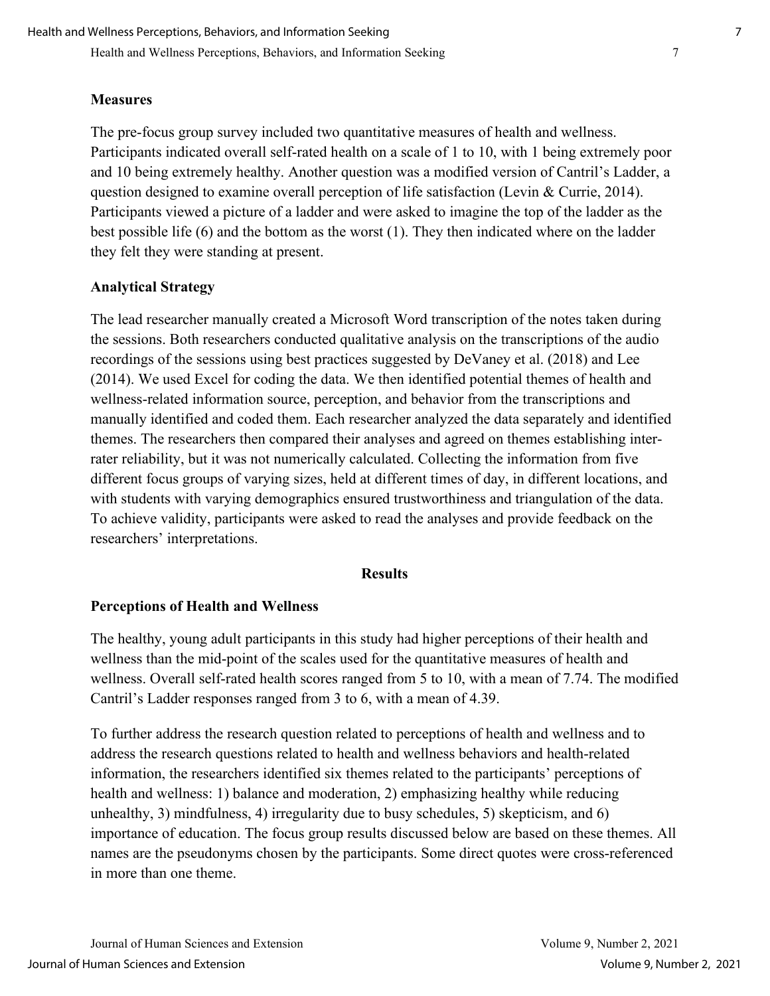#### **Measures**

The pre-focus group survey included two quantitative measures of health and wellness. Participants indicated overall self-rated health on a scale of 1 to 10, with 1 being extremely poor and 10 being extremely healthy. Another question was a modified version of Cantril's Ladder, a question designed to examine overall perception of life satisfaction (Levin & Currie, 2014). Participants viewed a picture of a ladder and were asked to imagine the top of the ladder as the best possible life (6) and the bottom as the worst (1). They then indicated where on the ladder they felt they were standing at present.

#### **Analytical Strategy**

The lead researcher manually created a Microsoft Word transcription of the notes taken during the sessions. Both researchers conducted qualitative analysis on the transcriptions of the audio recordings of the sessions using best practices suggested by DeVaney et al. (2018) and Lee (2014). We used Excel for coding the data. We then identified potential themes of health and wellness-related information source, perception, and behavior from the transcriptions and manually identified and coded them. Each researcher analyzed the data separately and identified themes. The researchers then compared their analyses and agreed on themes establishing interrater reliability, but it was not numerically calculated. Collecting the information from five different focus groups of varying sizes, held at different times of day, in different locations, and with students with varying demographics ensured trustworthiness and triangulation of the data. To achieve validity, participants were asked to read the analyses and provide feedback on the researchers' interpretations.

#### **Results**

#### **Perceptions of Health and Wellness**

The healthy, young adult participants in this study had higher perceptions of their health and wellness than the mid-point of the scales used for the quantitative measures of health and wellness. Overall self-rated health scores ranged from 5 to 10, with a mean of 7.74. The modified Cantril's Ladder responses ranged from 3 to 6, with a mean of 4.39.

To further address the research question related to perceptions of health and wellness and to address the research questions related to health and wellness behaviors and health-related information, the researchers identified six themes related to the participants' perceptions of health and wellness: 1) balance and moderation, 2) emphasizing healthy while reducing unhealthy, 3) mindfulness, 4) irregularity due to busy schedules, 5) skepticism, and 6) importance of education. The focus group results discussed below are based on these themes. All names are the pseudonyms chosen by the participants. Some direct quotes were cross-referenced in more than one theme.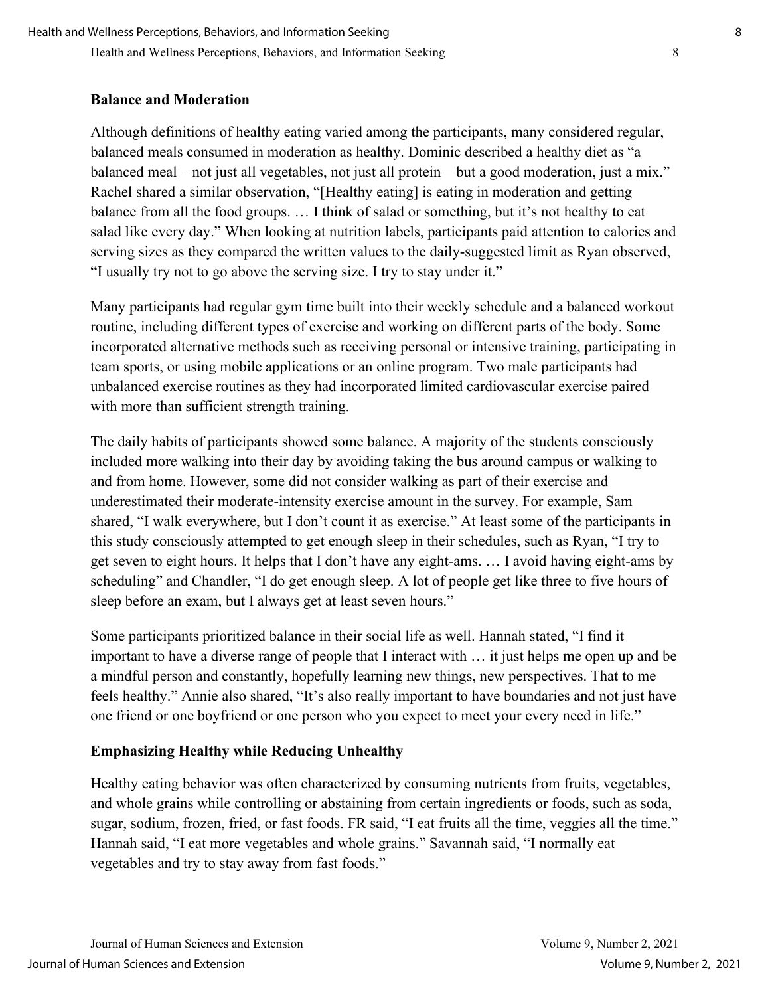#### **Balance and Moderation**

Although definitions of healthy eating varied among the participants, many considered regular, balanced meals consumed in moderation as healthy. Dominic described a healthy diet as "a balanced meal – not just all vegetables, not just all protein – but a good moderation, just a mix." Rachel shared a similar observation, "[Healthy eating] is eating in moderation and getting balance from all the food groups. … I think of salad or something, but it's not healthy to eat salad like every day." When looking at nutrition labels, participants paid attention to calories and serving sizes as they compared the written values to the daily-suggested limit as Ryan observed, "I usually try not to go above the serving size. I try to stay under it."

Many participants had regular gym time built into their weekly schedule and a balanced workout routine, including different types of exercise and working on different parts of the body. Some incorporated alternative methods such as receiving personal or intensive training, participating in team sports, or using mobile applications or an online program. Two male participants had unbalanced exercise routines as they had incorporated limited cardiovascular exercise paired with more than sufficient strength training.

The daily habits of participants showed some balance. A majority of the students consciously included more walking into their day by avoiding taking the bus around campus or walking to and from home. However, some did not consider walking as part of their exercise and underestimated their moderate-intensity exercise amount in the survey. For example, Sam shared, "I walk everywhere, but I don't count it as exercise." At least some of the participants in this study consciously attempted to get enough sleep in their schedules, such as Ryan, "I try to get seven to eight hours. It helps that I don't have any eight-ams. … I avoid having eight-ams by scheduling" and Chandler, "I do get enough sleep. A lot of people get like three to five hours of sleep before an exam, but I always get at least seven hours."

Some participants prioritized balance in their social life as well. Hannah stated, "I find it important to have a diverse range of people that I interact with … it just helps me open up and be a mindful person and constantly, hopefully learning new things, new perspectives. That to me feels healthy." Annie also shared, "It's also really important to have boundaries and not just have one friend or one boyfriend or one person who you expect to meet your every need in life."

## **Emphasizing Healthy while Reducing Unhealthy**

Healthy eating behavior was often characterized by consuming nutrients from fruits, vegetables, and whole grains while controlling or abstaining from certain ingredients or foods, such as soda, sugar, sodium, frozen, fried, or fast foods. FR said, "I eat fruits all the time, veggies all the time." Hannah said, "I eat more vegetables and whole grains." Savannah said, "I normally eat vegetables and try to stay away from fast foods."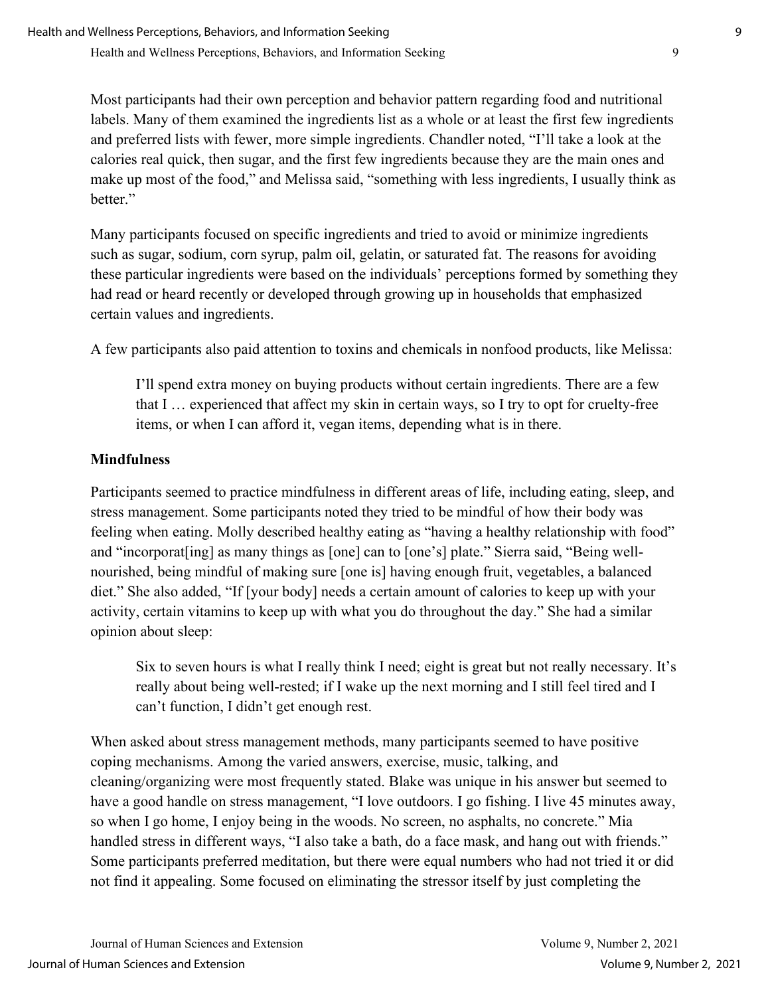Most participants had their own perception and behavior pattern regarding food and nutritional labels. Many of them examined the ingredients list as a whole or at least the first few ingredients and preferred lists with fewer, more simple ingredients. Chandler noted, "I'll take a look at the calories real quick, then sugar, and the first few ingredients because they are the main ones and make up most of the food," and Melissa said, "something with less ingredients, I usually think as better."

Many participants focused on specific ingredients and tried to avoid or minimize ingredients such as sugar, sodium, corn syrup, palm oil, gelatin, or saturated fat. The reasons for avoiding these particular ingredients were based on the individuals' perceptions formed by something they had read or heard recently or developed through growing up in households that emphasized certain values and ingredients.

A few participants also paid attention to toxins and chemicals in nonfood products, like Melissa:

I'll spend extra money on buying products without certain ingredients. There are a few that I … experienced that affect my skin in certain ways, so I try to opt for cruelty-free items, or when I can afford it, vegan items, depending what is in there.

## **Mindfulness**

Participants seemed to practice mindfulness in different areas of life, including eating, sleep, and stress management. Some participants noted they tried to be mindful of how their body was feeling when eating. Molly described healthy eating as "having a healthy relationship with food" and "incorporat[ing] as many things as [one] can to [one's] plate." Sierra said, "Being wellnourished, being mindful of making sure [one is] having enough fruit, vegetables, a balanced diet." She also added, "If [your body] needs a certain amount of calories to keep up with your activity, certain vitamins to keep up with what you do throughout the day." She had a similar opinion about sleep:

Six to seven hours is what I really think I need; eight is great but not really necessary. It's really about being well-rested; if I wake up the next morning and I still feel tired and I can't function, I didn't get enough rest.

When asked about stress management methods, many participants seemed to have positive coping mechanisms. Among the varied answers, exercise, music, talking, and cleaning/organizing were most frequently stated. Blake was unique in his answer but seemed to have a good handle on stress management, "I love outdoors. I go fishing. I live 45 minutes away, so when I go home, I enjoy being in the woods. No screen, no asphalts, no concrete." Mia handled stress in different ways, "I also take a bath, do a face mask, and hang out with friends." Some participants preferred meditation, but there were equal numbers who had not tried it or did not find it appealing. Some focused on eliminating the stressor itself by just completing the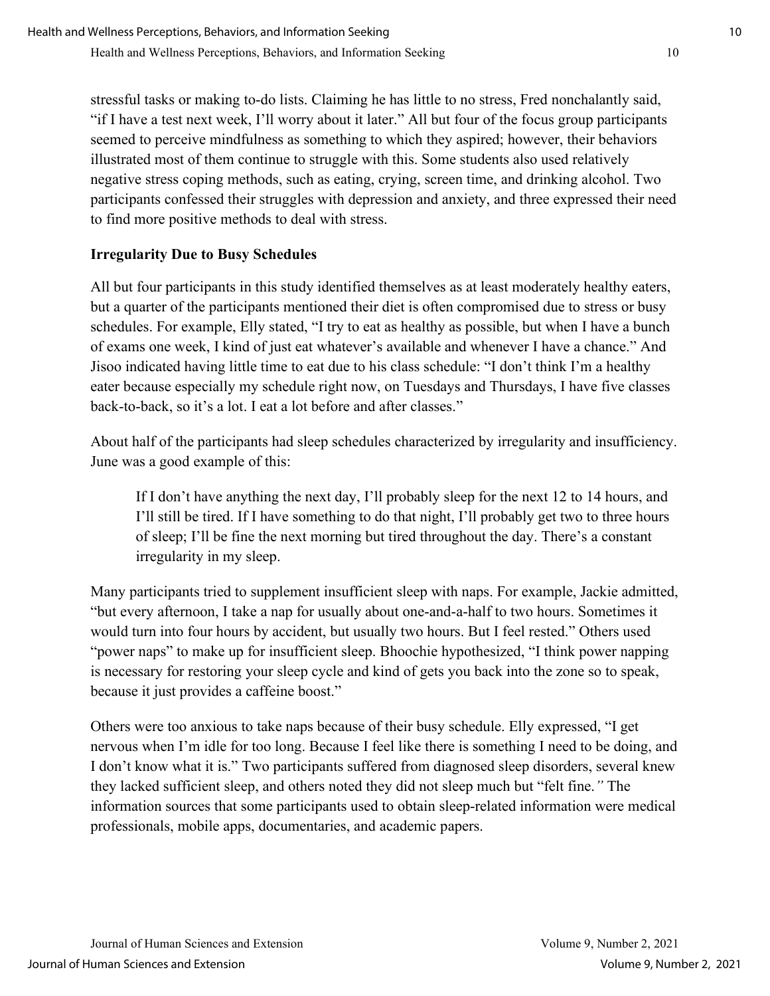stressful tasks or making to-do lists. Claiming he has little to no stress, Fred nonchalantly said, "if I have a test next week, I'll worry about it later." All but four of the focus group participants seemed to perceive mindfulness as something to which they aspired; however, their behaviors illustrated most of them continue to struggle with this. Some students also used relatively negative stress coping methods, such as eating, crying, screen time, and drinking alcohol. Two participants confessed their struggles with depression and anxiety, and three expressed their need to find more positive methods to deal with stress.

## **Irregularity Due to Busy Schedules**

All but four participants in this study identified themselves as at least moderately healthy eaters, but a quarter of the participants mentioned their diet is often compromised due to stress or busy schedules. For example, Elly stated, "I try to eat as healthy as possible, but when I have a bunch of exams one week, I kind of just eat whatever's available and whenever I have a chance." And Jisoo indicated having little time to eat due to his class schedule: "I don't think I'm a healthy eater because especially my schedule right now, on Tuesdays and Thursdays, I have five classes back-to-back, so it's a lot. I eat a lot before and after classes."

About half of the participants had sleep schedules characterized by irregularity and insufficiency. June was a good example of this:

If I don't have anything the next day, I'll probably sleep for the next 12 to 14 hours, and I'll still be tired. If I have something to do that night, I'll probably get two to three hours of sleep; I'll be fine the next morning but tired throughout the day. There's a constant irregularity in my sleep.

Many participants tried to supplement insufficient sleep with naps. For example, Jackie admitted, "but every afternoon, I take a nap for usually about one-and-a-half to two hours. Sometimes it would turn into four hours by accident, but usually two hours. But I feel rested." Others used "power naps" to make up for insufficient sleep. Bhoochie hypothesized, "I think power napping is necessary for restoring your sleep cycle and kind of gets you back into the zone so to speak, because it just provides a caffeine boost."

Others were too anxious to take naps because of their busy schedule. Elly expressed, "I get nervous when I'm idle for too long. Because I feel like there is something I need to be doing, and I don't know what it is." Two participants suffered from diagnosed sleep disorders, several knew they lacked sufficient sleep, and others noted they did not sleep much but "felt fine.*"* The information sources that some participants used to obtain sleep-related information were medical professionals, mobile apps, documentaries, and academic papers.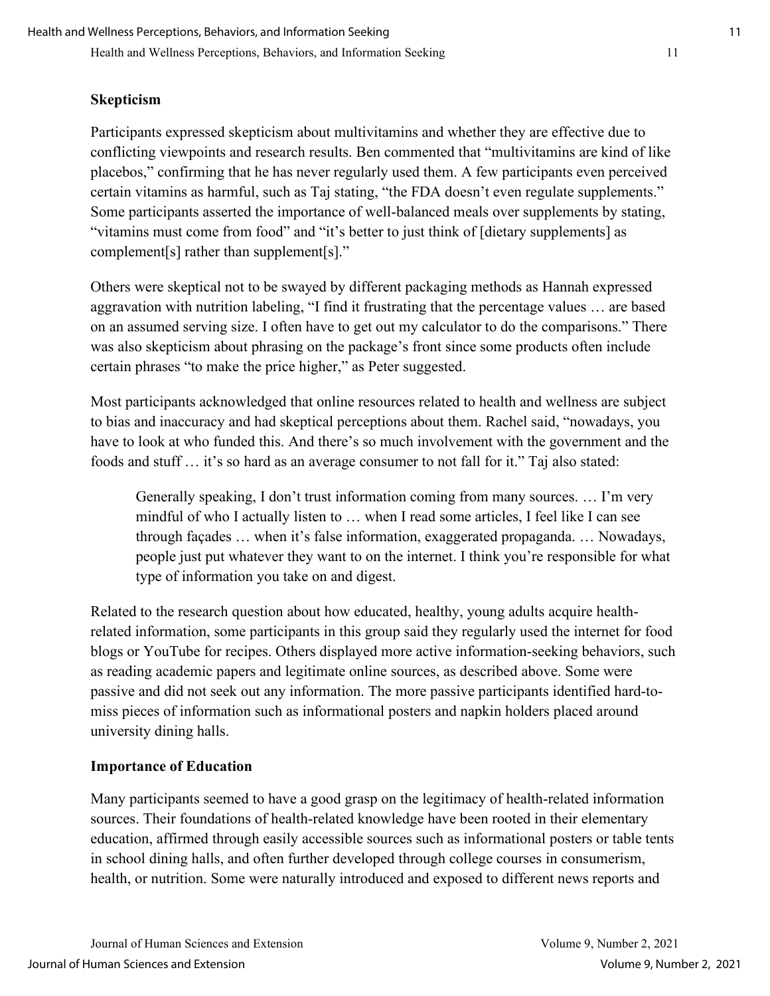#### **Skepticism**

Participants expressed skepticism about multivitamins and whether they are effective due to conflicting viewpoints and research results. Ben commented that "multivitamins are kind of like placebos," confirming that he has never regularly used them. A few participants even perceived certain vitamins as harmful, such as Taj stating, "the FDA doesn't even regulate supplements." Some participants asserted the importance of well-balanced meals over supplements by stating, "vitamins must come from food" and "it's better to just think of [dietary supplements] as complement[s] rather than supplement[s]."

Others were skeptical not to be swayed by different packaging methods as Hannah expressed aggravation with nutrition labeling, "I find it frustrating that the percentage values … are based on an assumed serving size. I often have to get out my calculator to do the comparisons." There was also skepticism about phrasing on the package's front since some products often include certain phrases "to make the price higher," as Peter suggested.

Most participants acknowledged that online resources related to health and wellness are subject to bias and inaccuracy and had skeptical perceptions about them. Rachel said, "nowadays, you have to look at who funded this. And there's so much involvement with the government and the foods and stuff … it's so hard as an average consumer to not fall for it." Taj also stated:

Generally speaking, I don't trust information coming from many sources. … I'm very mindful of who I actually listen to … when I read some articles, I feel like I can see through façades … when it's false information, exaggerated propaganda. … Nowadays, people just put whatever they want to on the internet. I think you're responsible for what type of information you take on and digest.

Related to the research question about how educated, healthy, young adults acquire healthrelated information, some participants in this group said they regularly used the internet for food blogs or YouTube for recipes. Others displayed more active information-seeking behaviors, such as reading academic papers and legitimate online sources, as described above. Some were passive and did not seek out any information. The more passive participants identified hard-tomiss pieces of information such as informational posters and napkin holders placed around university dining halls.

#### **Importance of Education**

Many participants seemed to have a good grasp on the legitimacy of health-related information sources. Their foundations of health-related knowledge have been rooted in their elementary education, affirmed through easily accessible sources such as informational posters or table tents in school dining halls, and often further developed through college courses in consumerism, health, or nutrition. Some were naturally introduced and exposed to different news reports and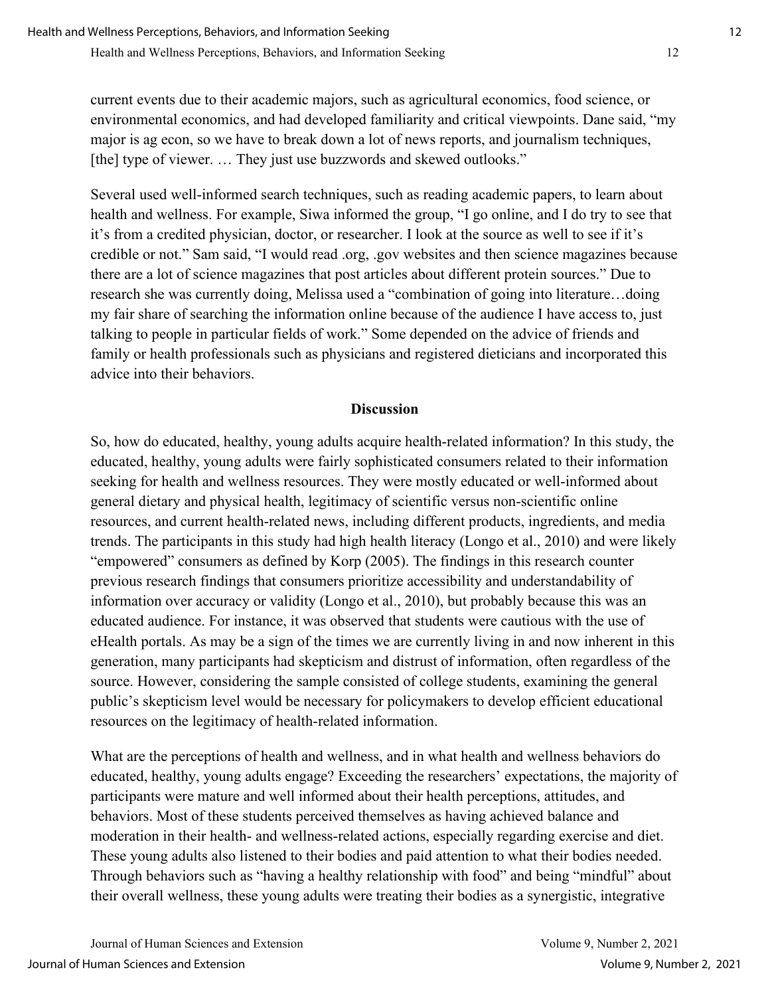current events due to their academic majors, such as agricultural economics, food science, or environmental economics, and had developed familiarity and critical viewpoints. Dane said, "my major is ag econ, so we have to break down a lot of news reports, and journalism techniques, [the] type of viewer. ... They just use buzzwords and skewed outlooks."

Several used well-informed search techniques, such as reading academic papers, to learn about health and wellness. For example, Siwa informed the group, "I go online, and I do try to see that it's from a credited physician, doctor, or researcher. I look at the source as well to see if it's credible or not." Sam said, "I would read .org, .gov websites and then science magazines because there are a lot of science magazines that post articles about different protein sources." Due to research she was currently doing, Melissa used a "combination of going into literature…doing my fair share of searching the information online because of the audience I have access to, just talking to people in particular fields of work." Some depended on the advice of friends and family or health professionals such as physicians and registered dieticians and incorporated this advice into their behaviors.

#### **Discussion**

So, how do educated, healthy, young adults acquire health-related information? In this study, the educated, healthy, young adults were fairly sophisticated consumers related to their information seeking for health and wellness resources. They were mostly educated or well-informed about general dietary and physical health, legitimacy of scientific versus non-scientific online resources, and current health-related news, including different products, ingredients, and media trends. The participants in this study had high health literacy (Longo et al., 2010) and were likely "empowered" consumers as defined by Korp (2005). The findings in this research counter previous research findings that consumers prioritize accessibility and understandability of information over accuracy or validity (Longo et al., 2010), but probably because this was an educated audience. For instance, it was observed that students were cautious with the use of eHealth portals. As may be a sign of the times we are currently living in and now inherent in this generation, many participants had skepticism and distrust of information, often regardless of the source. However, considering the sample consisted of college students, examining the general public's skepticism level would be necessary for policymakers to develop efficient educational resources on the legitimacy of health-related information.

What are the perceptions of health and wellness, and in what health and wellness behaviors do educated, healthy, young adults engage? Exceeding the researchers' expectations, the majority of participants were mature and well informed about their health perceptions, attitudes, and behaviors. Most of these students perceived themselves as having achieved balance and moderation in their health- and wellness-related actions, especially regarding exercise and diet. These young adults also listened to their bodies and paid attention to what their bodies needed. Through behaviors such as "having a healthy relationship with food" and being "mindful" about their overall wellness, these young adults were treating their bodies as a synergistic, integrative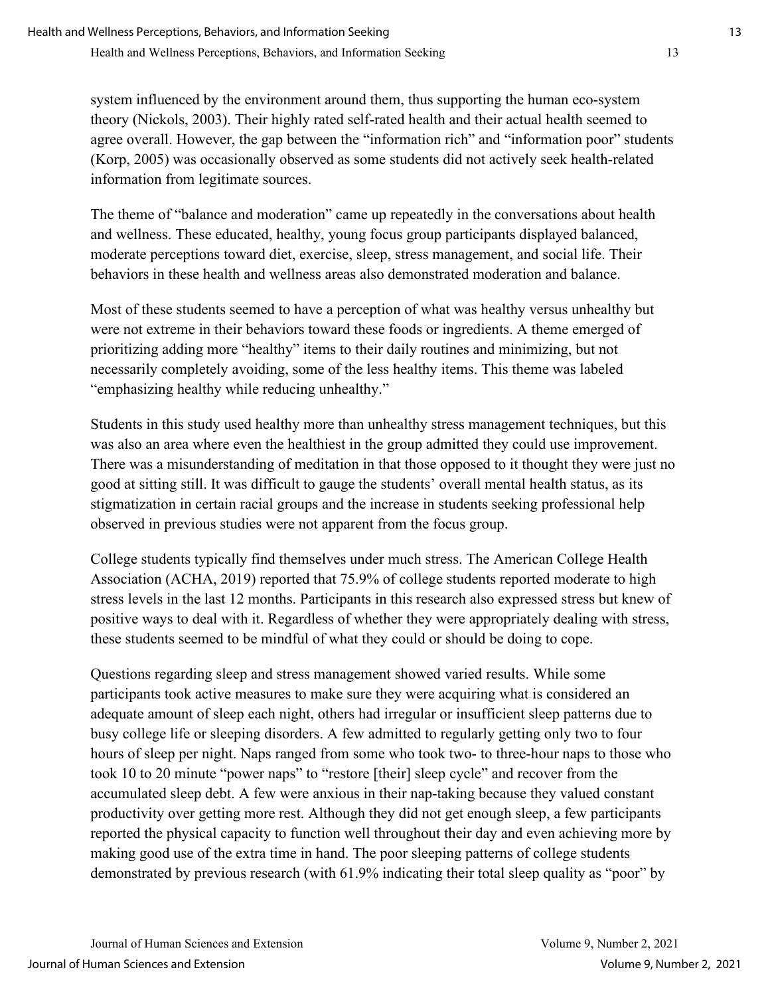system influenced by the environment around them, thus supporting the human eco-system theory (Nickols, 2003). Their highly rated self-rated health and their actual health seemed to agree overall. However, the gap between the "information rich" and "information poor" students (Korp, 2005) was occasionally observed as some students did not actively seek health-related information from legitimate sources.

The theme of "balance and moderation" came up repeatedly in the conversations about health and wellness. These educated, healthy, young focus group participants displayed balanced, moderate perceptions toward diet, exercise, sleep, stress management, and social life. Their behaviors in these health and wellness areas also demonstrated moderation and balance.

Most of these students seemed to have a perception of what was healthy versus unhealthy but were not extreme in their behaviors toward these foods or ingredients. A theme emerged of prioritizing adding more "healthy" items to their daily routines and minimizing, but not necessarily completely avoiding, some of the less healthy items. This theme was labeled "emphasizing healthy while reducing unhealthy."

Students in this study used healthy more than unhealthy stress management techniques, but this was also an area where even the healthiest in the group admitted they could use improvement. There was a misunderstanding of meditation in that those opposed to it thought they were just no good at sitting still. It was difficult to gauge the students' overall mental health status, as its stigmatization in certain racial groups and the increase in students seeking professional help observed in previous studies were not apparent from the focus group.

College students typically find themselves under much stress. The American College Health Association (ACHA, 2019) reported that 75.9% of college students reported moderate to high stress levels in the last 12 months. Participants in this research also expressed stress but knew of positive ways to deal with it. Regardless of whether they were appropriately dealing with stress, these students seemed to be mindful of what they could or should be doing to cope.

Questions regarding sleep and stress management showed varied results. While some participants took active measures to make sure they were acquiring what is considered an adequate amount of sleep each night, others had irregular or insufficient sleep patterns due to busy college life or sleeping disorders. A few admitted to regularly getting only two to four hours of sleep per night. Naps ranged from some who took two- to three-hour naps to those who took 10 to 20 minute "power naps" to "restore [their] sleep cycle" and recover from the accumulated sleep debt. A few were anxious in their nap-taking because they valued constant productivity over getting more rest. Although they did not get enough sleep, a few participants reported the physical capacity to function well throughout their day and even achieving more by making good use of the extra time in hand. The poor sleeping patterns of college students demonstrated by previous research (with 61.9% indicating their total sleep quality as "poor" by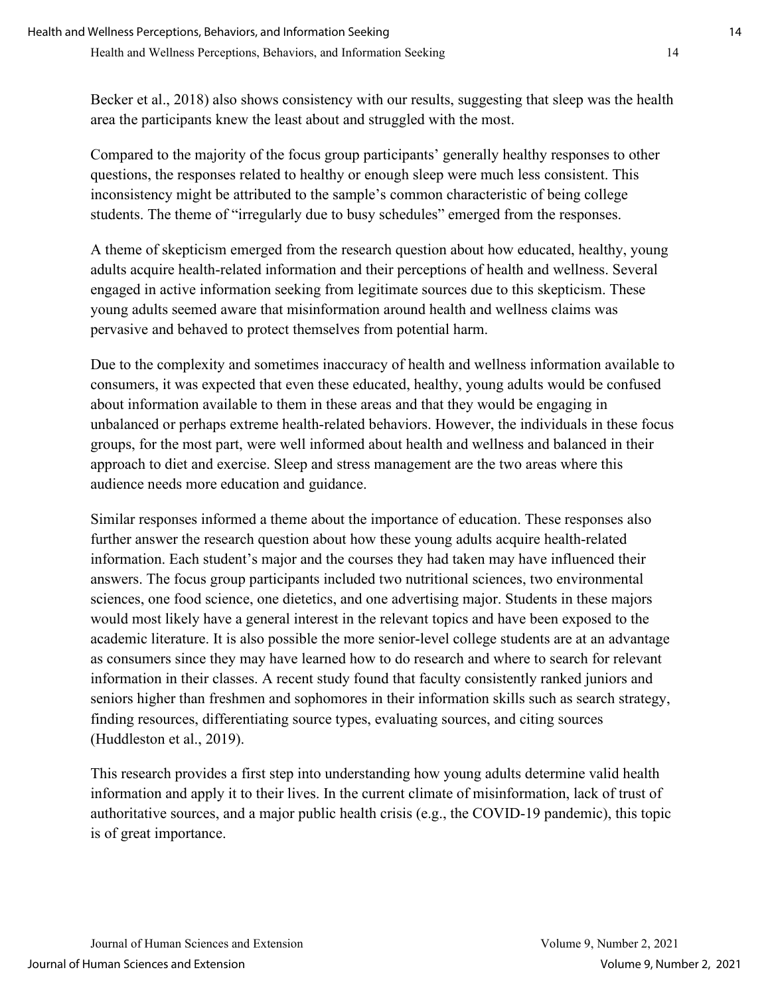Becker et al., 2018) also shows consistency with our results, suggesting that sleep was the health area the participants knew the least about and struggled with the most.

Compared to the majority of the focus group participants' generally healthy responses to other questions, the responses related to healthy or enough sleep were much less consistent. This inconsistency might be attributed to the sample's common characteristic of being college students. The theme of "irregularly due to busy schedules" emerged from the responses.

A theme of skepticism emerged from the research question about how educated, healthy, young adults acquire health-related information and their perceptions of health and wellness. Several engaged in active information seeking from legitimate sources due to this skepticism. These young adults seemed aware that misinformation around health and wellness claims was pervasive and behaved to protect themselves from potential harm.

Due to the complexity and sometimes inaccuracy of health and wellness information available to consumers, it was expected that even these educated, healthy, young adults would be confused about information available to them in these areas and that they would be engaging in unbalanced or perhaps extreme health-related behaviors. However, the individuals in these focus groups, for the most part, were well informed about health and wellness and balanced in their approach to diet and exercise. Sleep and stress management are the two areas where this audience needs more education and guidance.

Similar responses informed a theme about the importance of education. These responses also further answer the research question about how these young adults acquire health-related information. Each student's major and the courses they had taken may have influenced their answers. The focus group participants included two nutritional sciences, two environmental sciences, one food science, one dietetics, and one advertising major. Students in these majors would most likely have a general interest in the relevant topics and have been exposed to the academic literature. It is also possible the more senior-level college students are at an advantage as consumers since they may have learned how to do research and where to search for relevant information in their classes. A recent study found that faculty consistently ranked juniors and seniors higher than freshmen and sophomores in their information skills such as search strategy, finding resources, differentiating source types, evaluating sources, and citing sources (Huddleston et al., 2019).

This research provides a first step into understanding how young adults determine valid health information and apply it to their lives. In the current climate of misinformation, lack of trust of authoritative sources, and a major public health crisis (e.g., the COVID-19 pandemic), this topic is of great importance.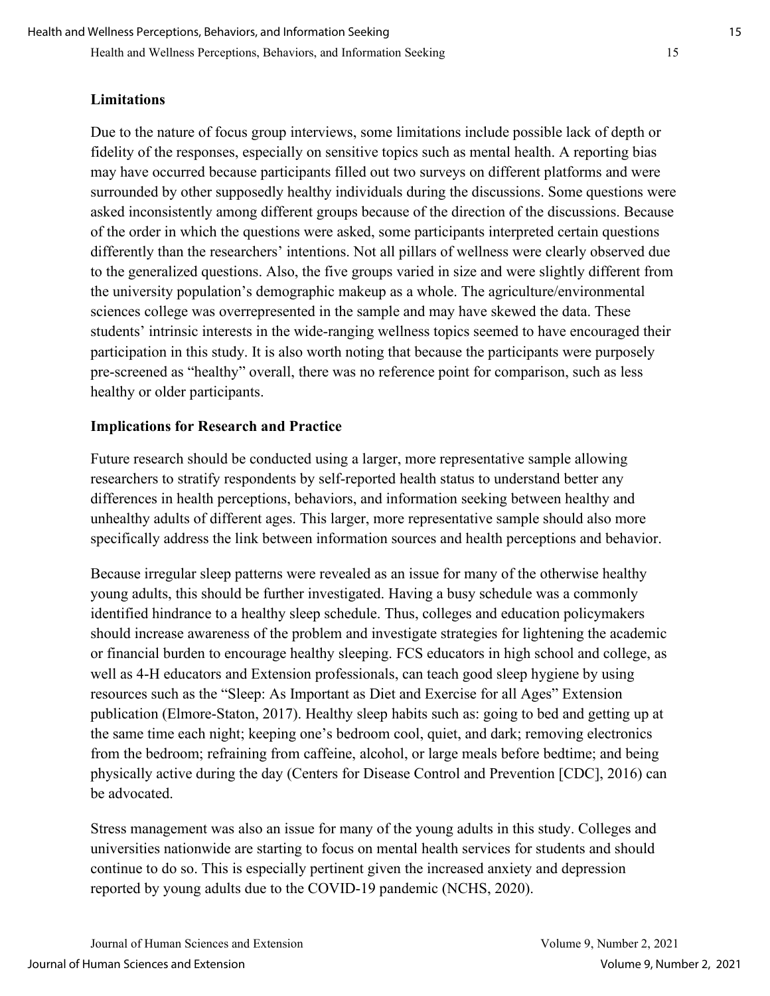Health and Wellness Perceptions, Behaviors, and Information Seeking 15

#### **Limitations**

Due to the nature of focus group interviews, some limitations include possible lack of depth or fidelity of the responses, especially on sensitive topics such as mental health. A reporting bias may have occurred because participants filled out two surveys on different platforms and were surrounded by other supposedly healthy individuals during the discussions. Some questions were asked inconsistently among different groups because of the direction of the discussions. Because of the order in which the questions were asked, some participants interpreted certain questions differently than the researchers' intentions. Not all pillars of wellness were clearly observed due to the generalized questions. Also, the five groups varied in size and were slightly different from the university population's demographic makeup as a whole. The agriculture/environmental sciences college was overrepresented in the sample and may have skewed the data. These students' intrinsic interests in the wide-ranging wellness topics seemed to have encouraged their participation in this study. It is also worth noting that because the participants were purposely pre-screened as "healthy" overall, there was no reference point for comparison, such as less healthy or older participants.

#### **Implications for Research and Practice**

Future research should be conducted using a larger, more representative sample allowing researchers to stratify respondents by self-reported health status to understand better any differences in health perceptions, behaviors, and information seeking between healthy and unhealthy adults of different ages. This larger, more representative sample should also more specifically address the link between information sources and health perceptions and behavior.

Because irregular sleep patterns were revealed as an issue for many of the otherwise healthy young adults, this should be further investigated. Having a busy schedule was a commonly identified hindrance to a healthy sleep schedule. Thus, colleges and education policymakers should increase awareness of the problem and investigate strategies for lightening the academic or financial burden to encourage healthy sleeping. FCS educators in high school and college, as well as 4-H educators and Extension professionals, can teach good sleep hygiene by using resources such as the "Sleep: As Important as Diet and Exercise for all Ages" Extension publication (Elmore-Staton, 2017). Healthy sleep habits such as: going to bed and getting up at the same time each night; keeping one's bedroom cool, quiet, and dark; removing electronics from the bedroom; refraining from caffeine, alcohol, or large meals before bedtime; and being physically active during the day (Centers for Disease Control and Prevention [CDC], 2016) can be advocated.

Stress management was also an issue for many of the young adults in this study. Colleges and universities nationwide are starting to focus on mental health services for students and should continue to do so. This is especially pertinent given the increased anxiety and depression reported by young adults due to the COVID-19 pandemic (NCHS, 2020).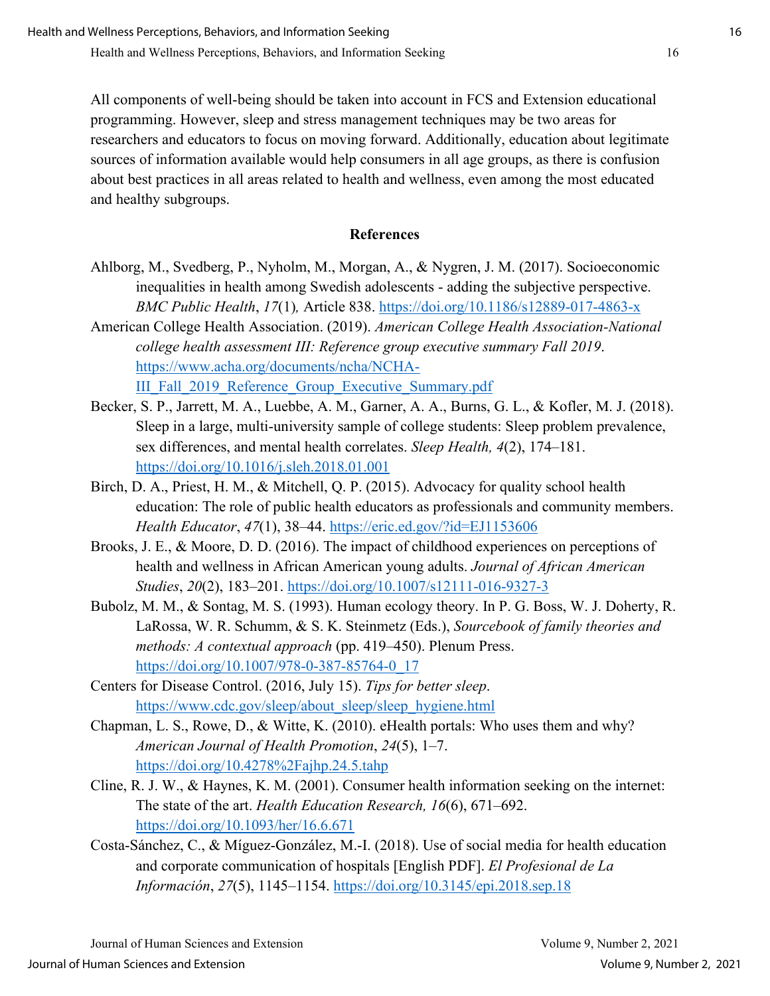All components of well-being should be taken into account in FCS and Extension educational programming. However, sleep and stress management techniques may be two areas for researchers and educators to focus on moving forward. Additionally, education about legitimate sources of information available would help consumers in all age groups, as there is confusion about best practices in all areas related to health and wellness, even among the most educated and healthy subgroups.

#### **References**

- Ahlborg, M., Svedberg, P., Nyholm, M., Morgan, A., & Nygren, J. M. (2017). Socioeconomic inequalities in health among Swedish adolescents - adding the subjective perspective. *BMC Public Health*, *17*(1)*,* Article 838.<https://doi.org/10.1186/s12889-017-4863-x>
- American College Health Association. (2019). *American College Health Association-National college health assessment III: Reference group executive summary Fall 2019*. [https://www.acha.org/documents/ncha/NCHA-](https://www.acha.org/documents/ncha/NCHA-III_Fall_2019_Reference_Group_Executive_Summary.pdf)III Fall 2019 Reference Group Executive Summary.pdf
- Becker, S. P., Jarrett, M. A., Luebbe, A. M., Garner, A. A., Burns, G. L., & Kofler, M. J. (2018). Sleep in a large, multi-university sample of college students: Sleep problem prevalence, sex differences, and mental health correlates. *Sleep Health, 4*(2), 174–181. <https://doi.org/10.1016/j.sleh.2018.01.001>
- Birch, D. A., Priest, H. M., & Mitchell, Q. P. (2015). Advocacy for quality school health education: The role of public health educators as professionals and community members. *Health Educator*, *47*(1), 38–44.<https://eric.ed.gov/?id=EJ1153606>
- Brooks, J. E., & Moore, D. D. (2016). The impact of childhood experiences on perceptions of health and wellness in African American young adults. *Journal of African American Studies*, *20*(2), 183–201.<https://doi.org/10.1007/s12111-016-9327-3>
- Bubolz, M. M., & Sontag, M. S. (1993). Human ecology theory. In P. G. Boss, W. J. Doherty, R. LaRossa, W. R. Schumm, & S. K. Steinmetz (Eds.), *Sourcebook of family theories and methods: A contextual approach* (pp. 419–450). Plenum Press. [https://doi.org/10.1007/978-0-387-85764-0\\_17](https://doi.org/10.1007/978-0-387-85764-0_17)
- Centers for Disease Control. (2016, July 15). *Tips for better sleep*. [https://www.cdc.gov/sleep/about\\_sleep/sleep\\_hygiene.html](https://www.cdc.gov/sleep/about_sleep/sleep_hygiene.html)
- Chapman, L. S., Rowe, D., & Witte, K. (2010). eHealth portals: Who uses them and why? *American Journal of Health Promotion*, *24*(5), 1–7. <https://doi.org/10.4278%2Fajhp.24.5.tahp>
- Cline, R. J. W., & Haynes, K. M. (2001). Consumer health information seeking on the internet: The state of the art. *Health Education Research, 16*(6), 671–692. <https://doi.org/10.1093/her/16.6.671>
- Costa-Sánchez, C., & Míguez-González, M.-I. (2018). Use of social media for health education and corporate communication of hospitals [English PDF]. *El Profesional de La Información*, *27*(5), 1145–1154.<https://doi.org/10.3145/epi.2018.sep.18>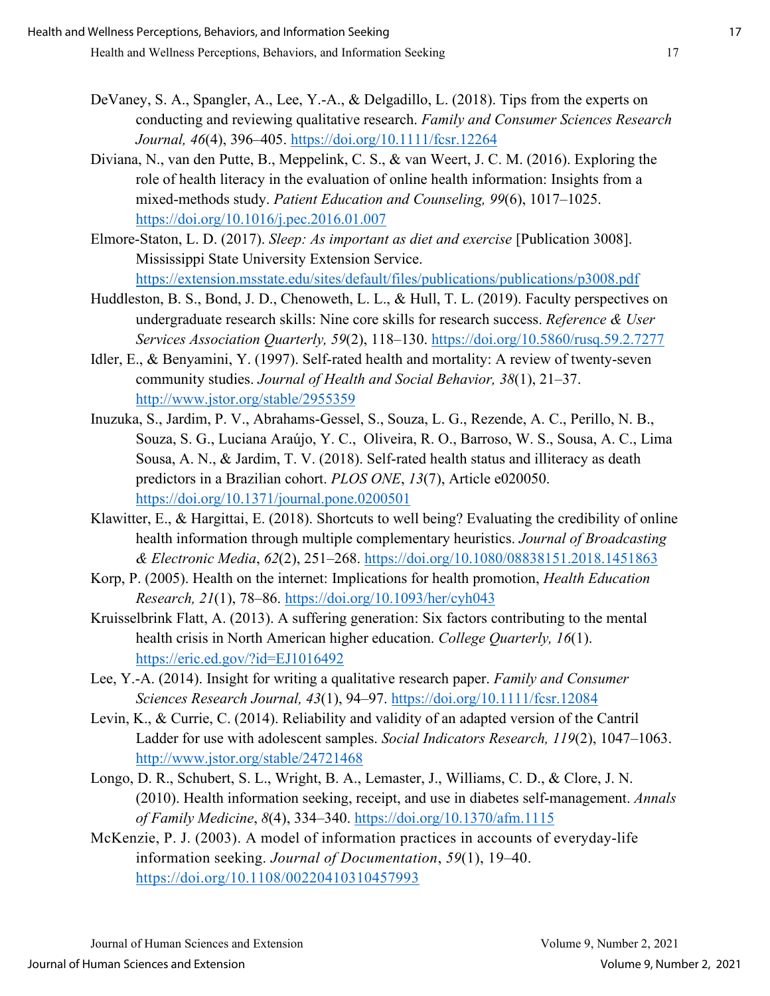- DeVaney, S. A., Spangler, A., Lee, Y.-A., & Delgadillo, L. (2018). Tips from the experts on conducting and reviewing qualitative research. *Family and Consumer Sciences Research Journal, 46*(4), 396–405.<https://doi.org/10.1111/fcsr.12264>
- Diviana, N., van den Putte, B., Meppelink, C. S., & van Weert, J. C. M. (2016). Exploring the role of health literacy in the evaluation of online health information: Insights from a mixed-methods study. *Patient Education and Counseling, 99*(6), 1017–1025. <https://doi.org/10.1016/j.pec.2016.01.007>
- Elmore-Staton, L. D. (2017). *Sleep: As important as diet and exercise* [Publication 3008]. Mississippi State University Extension Service. <https://extension.msstate.edu/sites/default/files/publications/publications/p3008.pdf>
- Huddleston, B. S., Bond, J. D., Chenoweth, L. L., & Hull, T. L. (2019). Faculty perspectives on undergraduate research skills: Nine core skills for research success. *Reference & User Services Association Quarterly, 59*(2), 118–130.<https://doi.org/10.5860/rusq.59.2.7277>
- Idler, E., & Benyamini, Y. (1997). Self-rated health and mortality: A review of twenty-seven community studies. *Journal of Health and Social Behavior, 38*(1), 21–37. <http://www.jstor.org/stable/2955359>
- Inuzuka, S., Jardim, P. V., Abrahams-Gessel, S., Souza, L. G., Rezende, A. C., Perillo, N. B., Souza, S. G., Luciana Araújo, Y. C., Oliveira, R. O., Barroso, W. S., Sousa, A. C., Lima Sousa, A. N., & Jardim, T. V. (2018). Self-rated health status and illiteracy as death predictors in a Brazilian cohort. *PLOS ONE*, *13*(7), Article e020050. <https://doi.org/10.1371/journal.pone.0200501>
- Klawitter, E., & Hargittai, E. (2018). Shortcuts to well being? Evaluating the credibility of online health information through multiple complementary heuristics. *Journal of Broadcasting & Electronic Media*, *62*(2), 251–268.<https://doi.org/10.1080/08838151.2018.1451863>
- Korp, P. (2005). Health on the internet: Implications for health promotion, *Health Education Research, 21*(1), 78–86.<https://doi.org/10.1093/her/cyh043>
- Kruisselbrink Flatt, A. (2013). A suffering generation: Six factors contributing to the mental health crisis in North American higher education. *College Quarterly, 16*(1). <https://eric.ed.gov/?id=EJ1016492>
- Lee, Y.-A. (2014). Insight for writing a qualitative research paper. *Family and Consumer Sciences Research Journal, 43*(1), 94–97.<https://doi.org/10.1111/fcsr.12084>
- Levin, K., & Currie, C. (2014). Reliability and validity of an adapted version of the Cantril Ladder for use with adolescent samples. *Social Indicators Research, 119*(2), 1047–1063. <http://www.jstor.org/stable/24721468>
- Longo, D. R., Schubert, S. L., Wright, B. A., Lemaster, J., Williams, C. D., & Clore, J. N. (2010). Health information seeking, receipt, and use in diabetes self-management. *Annals of Family Medicine*, *8*(4), 334–340.<https://doi.org/10.1370/afm.1115>
- McKenzie, P. J. (2003). A model of information practices in accounts of everyday‐life information seeking. *Journal of Documentation*, *59*(1), 19–40. <https://doi.org/10.1108/00220410310457993>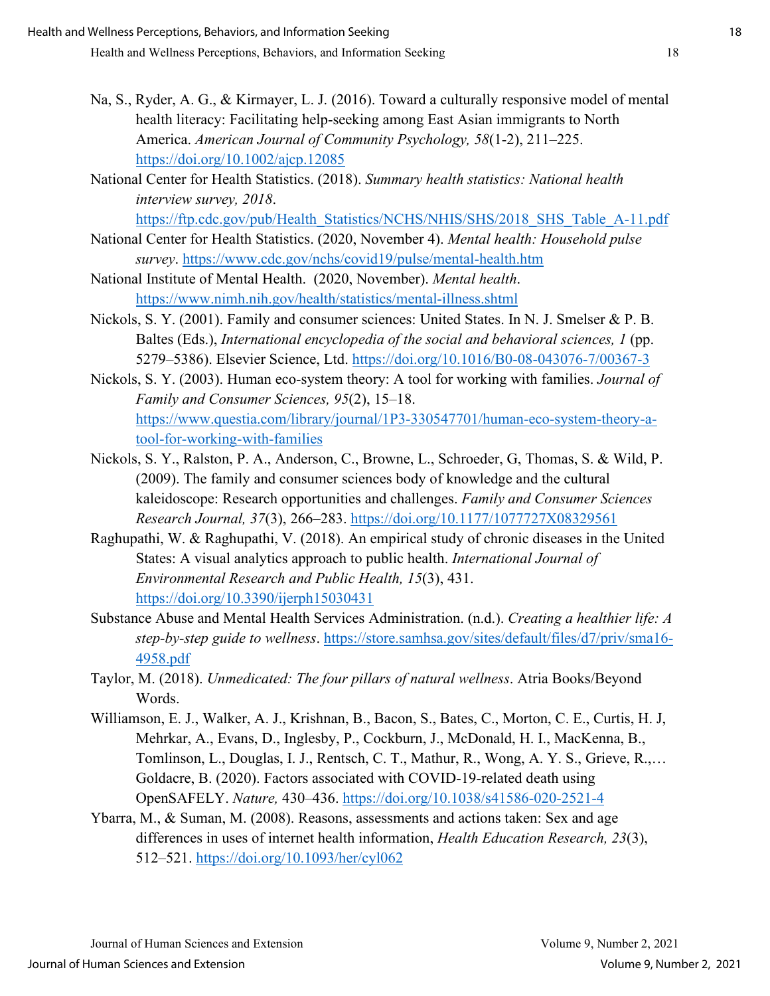- Na, S., Ryder, A. G., & Kirmayer, L. J. (2016). Toward a culturally responsive model of mental health literacy: Facilitating help-seeking among East Asian immigrants to North America. *American Journal of Community Psychology, 58*(1-2), 211–225. <https://doi.org/10.1002/ajcp.12085>
- National Center for Health Statistics. (2018). *Summary health statistics: National health interview survey, 2018*.
	- [https://ftp.cdc.gov/pub/Health\\_Statistics/NCHS/NHIS/SHS/2018\\_SHS\\_Table\\_A-11.pdf](https://ftp.cdc.gov/pub/Health_Statistics/NCHS/NHIS/SHS/2018_SHS_Table_A-11.pdf)
- National Center for Health Statistics. (2020, November 4). *Mental health: Household pulse survey*.<https://www.cdc.gov/nchs/covid19/pulse/mental-health.htm>
- National Institute of Mental Health. (2020, November). *Mental health*. <https://www.nimh.nih.gov/health/statistics/mental-illness.shtml>
- Nickols, S. Y. (2001). Family and consumer sciences: United States. In N. J. Smelser & P. B. Baltes (Eds.), *International encyclopedia of the social and behavioral sciences, 1* (pp. 5279–5386). Elsevier Science, Ltd.<https://doi.org/10.1016/B0-08-043076-7/00367-3>
- Nickols, S. Y. (2003). Human eco-system theory: A tool for working with families. *Journal of Family and Consumer Sciences, 95*(2), 15–18. [https://www.questia.com/library/journal/1P3-330547701/human-eco-system-theory-a](https://www.questia.com/library/journal/1P3-330547701/human-eco-system-theory-a-tool-for-working-with-families)[tool-for-working-with-families](https://www.questia.com/library/journal/1P3-330547701/human-eco-system-theory-a-tool-for-working-with-families)
- Nickols, S. Y., Ralston, P. A., Anderson, C., Browne, L., Schroeder, G, Thomas, S. & Wild, P. (2009). The family and consumer sciences body of knowledge and the cultural kaleidoscope: Research opportunities and challenges. *Family and Consumer Sciences Research Journal, 37*(3), 266–283.<https://doi.org/10.1177/1077727X08329561>
- Raghupathi, W. & Raghupathi, V. (2018). An empirical study of chronic diseases in the United States: A visual analytics approach to public health. *International Journal of Environmental Research and Public Health, 15*(3), 431. <https://doi.org/10.3390/ijerph15030431>
- Substance Abuse and Mental Health Services Administration. (n.d.). *Creating a healthier life: A step-by-step guide to wellness*. [https://store.samhsa.gov/sites/default/files/d7/priv/sma16-](https://store.samhsa.gov/sites/default/files/d7/priv/sma16-4958.pdf) [4958.pdf](https://store.samhsa.gov/sites/default/files/d7/priv/sma16-4958.pdf)
- Taylor, M. (2018). *Unmedicated: The four pillars of natural wellness*. Atria Books/Beyond Words.
- Williamson, E. J., Walker, A. J., Krishnan, B., Bacon, S., Bates, C., Morton, C. E., Curtis, H. J, Mehrkar, A., Evans, D., Inglesby, P., Cockburn, J., McDonald, H. I., MacKenna, B., Tomlinson, L., Douglas, I. J., Rentsch, C. T., Mathur, R., Wong, A. Y. S., Grieve, R.,… Goldacre, B. (2020). Factors associated with COVID-19-related death using OpenSAFELY. *Nature,* 430–436.<https://doi.org/10.1038/s41586-020-2521-4>
- Ybarra, M., & Suman, M. (2008). Reasons, assessments and actions taken: Sex and age differences in uses of internet health information, *Health Education Research, 23*(3), 512–521.<https://doi.org/10.1093/her/cyl062>